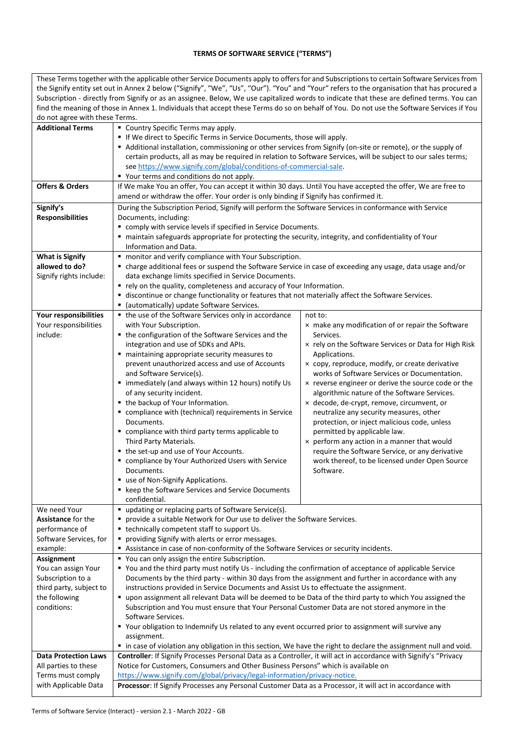## **TERMS OF SOFTWARE SERVICE ("TERMS")**

| These Terms together with the applicable other Service Documents apply to offers for and Subscriptions to certain Software Services from |                                                                                                                                                                                                        |                                                                             |  |
|------------------------------------------------------------------------------------------------------------------------------------------|--------------------------------------------------------------------------------------------------------------------------------------------------------------------------------------------------------|-----------------------------------------------------------------------------|--|
|                                                                                                                                          | the Signify entity set out in Annex 2 below ("Signify", "We", "Us", "Our"). "You" and "Your" refers to the organisation that has procured a                                                            |                                                                             |  |
|                                                                                                                                          | Subscription - directly from Signify or as an assignee. Below, We use capitalized words to indicate that these are defined terms. You can                                                              |                                                                             |  |
|                                                                                                                                          | find the meaning of those in Annex 1. Individuals that accept these Terms do so on behalf of You. Do not use the Software Services if You                                                              |                                                                             |  |
| do not agree with these Terms.                                                                                                           |                                                                                                                                                                                                        |                                                                             |  |
| <b>Additional Terms</b>                                                                                                                  | • Country Specific Terms may apply.                                                                                                                                                                    |                                                                             |  |
|                                                                                                                                          | If We direct to Specific Terms in Service Documents, those will apply.                                                                                                                                 |                                                                             |  |
|                                                                                                                                          | Additional installation, commissioning or other services from Signify (on-site or remote), or the supply of                                                                                            |                                                                             |  |
|                                                                                                                                          | certain products, all as may be required in relation to Software Services, will be subject to our sales terms;                                                                                         |                                                                             |  |
|                                                                                                                                          | see https://www.signify.com/global/conditions-of-commercial-sale.                                                                                                                                      |                                                                             |  |
| <b>Offers &amp; Orders</b>                                                                                                               | " Your terms and conditions do not apply.                                                                                                                                                              |                                                                             |  |
|                                                                                                                                          | If We make You an offer, You can accept it within 30 days. Until You have accepted the offer, We are free to<br>amend or withdraw the offer. Your order is only binding if Signify has confirmed it.   |                                                                             |  |
|                                                                                                                                          |                                                                                                                                                                                                        |                                                                             |  |
| Signify's                                                                                                                                | During the Subscription Period, Signify will perform the Software Services in conformance with Service                                                                                                 |                                                                             |  |
| <b>Responsibilities</b>                                                                                                                  | Documents, including:                                                                                                                                                                                  |                                                                             |  |
|                                                                                                                                          | " comply with service levels if specified in Service Documents.                                                                                                                                        |                                                                             |  |
|                                                                                                                                          | " maintain safeguards appropriate for protecting the security, integrity, and confidentiality of Your                                                                                                  |                                                                             |  |
| <b>What is Signify</b>                                                                                                                   | Information and Data.<br>" monitor and verify compliance with Your Subscription.                                                                                                                       |                                                                             |  |
| allowed to do?                                                                                                                           | " charge additional fees or suspend the Software Service in case of exceeding any usage, data usage and/or                                                                                             |                                                                             |  |
| Signify rights include:                                                                                                                  | data exchange limits specified in Service Documents.                                                                                                                                                   |                                                                             |  |
|                                                                                                                                          | " rely on the quality, completeness and accuracy of Your Information.                                                                                                                                  |                                                                             |  |
|                                                                                                                                          | " discontinue or change functionality or features that not materially affect the Software Services.                                                                                                    |                                                                             |  |
|                                                                                                                                          | • (automatically) update Software Services.                                                                                                                                                            |                                                                             |  |
| Your responsibilities                                                                                                                    | • the use of the Software Services only in accordance                                                                                                                                                  | not to:                                                                     |  |
| Your responsibilities                                                                                                                    | with Your Subscription.                                                                                                                                                                                | x make any modification of or repair the Software                           |  |
| include:                                                                                                                                 | • the configuration of the Software Services and the                                                                                                                                                   | Services.                                                                   |  |
|                                                                                                                                          | integration and use of SDKs and APIs.                                                                                                                                                                  | x rely on the Software Services or Data for High Risk                       |  |
|                                                                                                                                          | maintaining appropriate security measures to                                                                                                                                                           | Applications.                                                               |  |
|                                                                                                                                          | prevent unauthorized access and use of Accounts                                                                                                                                                        | × copy, reproduce, modify, or create derivative                             |  |
|                                                                                                                                          | and Software Service(s).                                                                                                                                                                               | works of Software Services or Documentation.                                |  |
|                                                                                                                                          | " immediately (and always within 12 hours) notify Us                                                                                                                                                   | x reverse engineer or derive the source code or the                         |  |
|                                                                                                                                          | of any security incident.                                                                                                                                                                              | algorithmic nature of the Software Services.                                |  |
|                                                                                                                                          | • the backup of Your Information.                                                                                                                                                                      | × decode, de-crypt, remove, circumvent, or                                  |  |
|                                                                                                                                          | " compliance with (technical) requirements in Service                                                                                                                                                  | neutralize any security measures, other                                     |  |
|                                                                                                                                          | Documents.                                                                                                                                                                                             | protection, or inject malicious code, unless                                |  |
|                                                                                                                                          | compliance with third party terms applicable to<br>Third Party Materials.                                                                                                                              | permitted by applicable law.<br>x perform any action in a manner that would |  |
|                                                                                                                                          | • the set-up and use of Your Accounts.                                                                                                                                                                 | require the Software Service, or any derivative                             |  |
|                                                                                                                                          | " compliance by Your Authorized Users with Service                                                                                                                                                     | work thereof, to be licensed under Open Source                              |  |
|                                                                                                                                          | Documents.                                                                                                                                                                                             | Software.                                                                   |  |
|                                                                                                                                          | " use of Non-Signify Applications.                                                                                                                                                                     |                                                                             |  |
|                                                                                                                                          | • keep the Software Services and Service Documents                                                                                                                                                     |                                                                             |  |
|                                                                                                                                          | confidential.                                                                                                                                                                                          |                                                                             |  |
| We need Your                                                                                                                             | " updating or replacing parts of Software Service(s).                                                                                                                                                  |                                                                             |  |
| Assistance for the                                                                                                                       | • provide a suitable Network for Our use to deliver the Software Services.                                                                                                                             |                                                                             |  |
| performance of                                                                                                                           | ■ technically competent staff to support Us.                                                                                                                                                           |                                                                             |  |
| Software Services, for                                                                                                                   | providing Signify with alerts or error messages.                                                                                                                                                       |                                                                             |  |
| example:                                                                                                                                 | Assistance in case of non-conformity of the Software Services or security incidents.                                                                                                                   |                                                                             |  |
| <b>Assignment</b>                                                                                                                        | " You can only assign the entire Subscription.                                                                                                                                                         |                                                                             |  |
| You can assign Your                                                                                                                      | " You and the third party must notify Us - including the confirmation of acceptance of applicable Service                                                                                              |                                                                             |  |
| Subscription to a                                                                                                                        | Documents by the third party - within 30 days from the assignment and further in accordance with any                                                                                                   |                                                                             |  |
| third party, subject to                                                                                                                  | instructions provided in Service Documents and Assist Us to effectuate the assignment.                                                                                                                 |                                                                             |  |
| the following                                                                                                                            | " upon assignment all relevant Data will be deemed to be Data of the third party to which You assigned the                                                                                             |                                                                             |  |
| conditions:                                                                                                                              | Subscription and You must ensure that Your Personal Customer Data are not stored anymore in the                                                                                                        |                                                                             |  |
|                                                                                                                                          | Software Services.                                                                                                                                                                                     |                                                                             |  |
|                                                                                                                                          | ■ Your obligation to Indemnify Us related to any event occurred prior to assignment will survive any                                                                                                   |                                                                             |  |
|                                                                                                                                          | assignment.                                                                                                                                                                                            |                                                                             |  |
| <b>Data Protection Laws</b>                                                                                                              | " in case of violation any obligation in this section, We have the right to declare the assignment null and void.                                                                                      |                                                                             |  |
| All parties to these                                                                                                                     | Controller: If Signify Processes Personal Data as a Controller, it will act in accordance with Signify's "Privacy<br>Notice for Customers, Consumers and Other Business Persons" which is available on |                                                                             |  |
| Terms must comply                                                                                                                        | https://www.signify.com/global/privacy/legal-information/privacy-notice.                                                                                                                               |                                                                             |  |
| with Applicable Data                                                                                                                     | Processor: If Signify Processes any Personal Customer Data as a Processor, it will act in accordance with                                                                                              |                                                                             |  |
|                                                                                                                                          |                                                                                                                                                                                                        |                                                                             |  |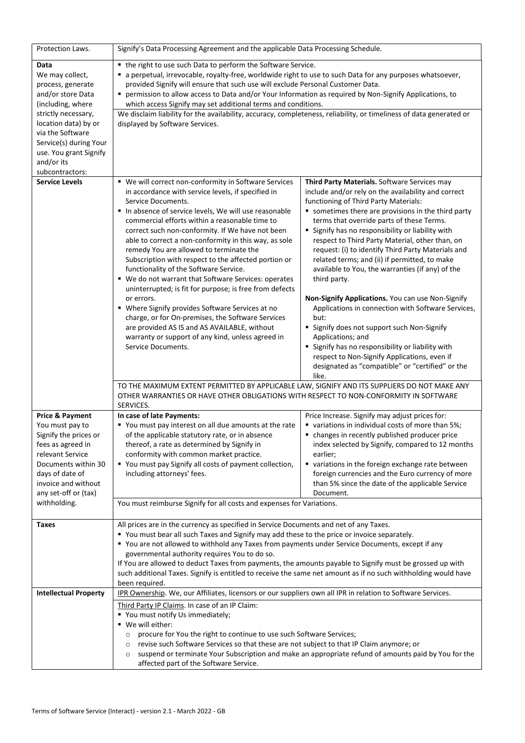| Protection Laws.                                                                                                                                                                                         | Signify's Data Processing Agreement and the applicable Data Processing Schedule.                                                                                                                                                                                                                                                                                                                                                                                                                                                                                                                                                                                                                                                                                                                                                                                           |                                                                                                                                                                                                                                                                                                                                                                                                                                                                                                                                                                                                                                                                                                                                                                                                                                                                                            |  |
|----------------------------------------------------------------------------------------------------------------------------------------------------------------------------------------------------------|----------------------------------------------------------------------------------------------------------------------------------------------------------------------------------------------------------------------------------------------------------------------------------------------------------------------------------------------------------------------------------------------------------------------------------------------------------------------------------------------------------------------------------------------------------------------------------------------------------------------------------------------------------------------------------------------------------------------------------------------------------------------------------------------------------------------------------------------------------------------------|--------------------------------------------------------------------------------------------------------------------------------------------------------------------------------------------------------------------------------------------------------------------------------------------------------------------------------------------------------------------------------------------------------------------------------------------------------------------------------------------------------------------------------------------------------------------------------------------------------------------------------------------------------------------------------------------------------------------------------------------------------------------------------------------------------------------------------------------------------------------------------------------|--|
| Data<br>We may collect,<br>process, generate<br>and/or store Data<br>(including, where                                                                                                                   | • the right to use such Data to perform the Software Service.<br>a perpetual, irrevocable, royalty-free, worldwide right to use to such Data for any purposes whatsoever,<br>provided Signify will ensure that such use will exclude Personal Customer Data.<br>permission to allow access to Data and/or Your Information as required by Non-Signify Applications, to<br>which access Signify may set additional terms and conditions.                                                                                                                                                                                                                                                                                                                                                                                                                                    |                                                                                                                                                                                                                                                                                                                                                                                                                                                                                                                                                                                                                                                                                                                                                                                                                                                                                            |  |
| strictly necessary,<br>location data) by or<br>via the Software<br>Service(s) during Your<br>use. You grant Signify<br>and/or its<br>subcontractors:                                                     | We disclaim liability for the availability, accuracy, completeness, reliability, or timeliness of data generated or<br>displayed by Software Services.                                                                                                                                                                                                                                                                                                                                                                                                                                                                                                                                                                                                                                                                                                                     |                                                                                                                                                                                                                                                                                                                                                                                                                                                                                                                                                                                                                                                                                                                                                                                                                                                                                            |  |
| <b>Service Levels</b>                                                                                                                                                                                    | " We will correct non-conformity in Software Services<br>in accordance with service levels, if specified in<br>Service Documents.<br>In absence of service levels, We will use reasonable<br>commercial efforts within a reasonable time to<br>correct such non-conformity. If We have not been<br>able to correct a non-conformity in this way, as sole<br>remedy You are allowed to terminate the<br>Subscription with respect to the affected portion or<br>functionality of the Software Service.<br>" We do not warrant that Software Services: operates<br>uninterrupted; is fit for purpose; is free from defects<br>or errors.<br>• Where Signify provides Software Services at no<br>charge, or for On-premises, the Software Services<br>are provided AS IS and AS AVAILABLE, without<br>warranty or support of any kind, unless agreed in<br>Service Documents. | Third Party Materials. Software Services may<br>include and/or rely on the availability and correct<br>functioning of Third Party Materials:<br>sometimes there are provisions in the third party<br>terms that override parts of these Terms.<br>" Signify has no responsibility or liability with<br>respect to Third Party Material, other than, on<br>request: (i) to identify Third Party Materials and<br>related terms; and (ii) if permitted, to make<br>available to You, the warranties (if any) of the<br>third party.<br>Non-Signify Applications. You can use Non-Signify<br>Applications in connection with Software Services,<br>but:<br>" Signify does not support such Non-Signify<br>Applications; and<br>" Signify has no responsibility or liability with<br>respect to Non-Signify Applications, even if<br>designated as "compatible" or "certified" or the<br>like. |  |
|                                                                                                                                                                                                          | TO THE MAXIMUM EXTENT PERMITTED BY APPLICABLE LAW, SIGNIFY AND ITS SUPPLIERS DO NOT MAKE ANY<br>OTHER WARRANTIES OR HAVE OTHER OBLIGATIONS WITH RESPECT TO NON-CONFORMITY IN SOFTWARE<br>SERVICES.                                                                                                                                                                                                                                                                                                                                                                                                                                                                                                                                                                                                                                                                         |                                                                                                                                                                                                                                                                                                                                                                                                                                                                                                                                                                                                                                                                                                                                                                                                                                                                                            |  |
| <b>Price &amp; Payment</b><br>You must pay to<br>Signify the prices or<br>fees as agreed in<br>relevant Service<br>Documents within 30<br>days of date of<br>invoice and without<br>any set-off or (tax) | In case of late Payments:<br>" You must pay interest on all due amounts at the rate<br>of the applicable statutory rate, or in absence<br>thereof, a rate as determined by Signify in<br>conformity with common market practice.<br>" You must pay Signify all costs of payment collection,<br>including attorneys' fees.                                                                                                                                                                                                                                                                                                                                                                                                                                                                                                                                                  | Price Increase. Signify may adjust prices for:<br>variations in individual costs of more than 5%;<br>• changes in recently published producer price<br>index selected by Signify, compared to 12 months<br>earlier;<br>variations in the foreign exchange rate between<br>foreign currencies and the Euro currency of more<br>than 5% since the date of the applicable Service<br>Document.                                                                                                                                                                                                                                                                                                                                                                                                                                                                                                |  |
| withholding.                                                                                                                                                                                             | You must reimburse Signify for all costs and expenses for Variations.                                                                                                                                                                                                                                                                                                                                                                                                                                                                                                                                                                                                                                                                                                                                                                                                      |                                                                                                                                                                                                                                                                                                                                                                                                                                                                                                                                                                                                                                                                                                                                                                                                                                                                                            |  |
| Taxes                                                                                                                                                                                                    | All prices are in the currency as specified in Service Documents and net of any Taxes.<br>" You must bear all such Taxes and Signify may add these to the price or invoice separately.<br>" You are not allowed to withhold any Taxes from payments under Service Documents, except if any<br>governmental authority requires You to do so.<br>If You are allowed to deduct Taxes from payments, the amounts payable to Signify must be grossed up with<br>such additional Taxes. Signify is entitled to receive the same net amount as if no such withholding would have<br>been required.                                                                                                                                                                                                                                                                                |                                                                                                                                                                                                                                                                                                                                                                                                                                                                                                                                                                                                                                                                                                                                                                                                                                                                                            |  |
| <b>Intellectual Property</b>                                                                                                                                                                             | IPR Ownership. We, our Affiliates, licensors or our suppliers own all IPR in relation to Software Services.                                                                                                                                                                                                                                                                                                                                                                                                                                                                                                                                                                                                                                                                                                                                                                |                                                                                                                                                                                                                                                                                                                                                                                                                                                                                                                                                                                                                                                                                                                                                                                                                                                                                            |  |
|                                                                                                                                                                                                          | Third Party IP Claims. In case of an IP Claim:<br>" You must notify Us immediately;<br>■ We will either:<br>procure for You the right to continue to use such Software Services;<br>O<br>revise such Software Services so that these are not subject to that IP Claim anymore; or<br>$\circ$<br>suspend or terminate Your Subscription and make an appropriate refund of amounts paid by You for the<br>$\circ$<br>affected part of the Software Service.                                                                                                                                                                                                                                                                                                                                                                                                                  |                                                                                                                                                                                                                                                                                                                                                                                                                                                                                                                                                                                                                                                                                                                                                                                                                                                                                            |  |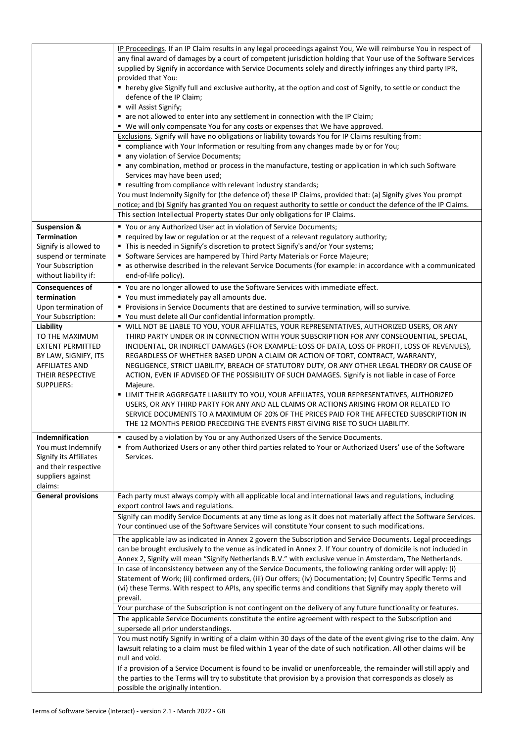|                                                                                                                                                  | IP Proceedings. If an IP Claim results in any legal proceedings against You, We will reimburse You in respect of<br>any final award of damages by a court of competent jurisdiction holding that Your use of the Software Services<br>supplied by Signify in accordance with Service Documents solely and directly infringes any third party IPR,<br>provided that You:<br>" hereby give Signify full and exclusive authority, at the option and cost of Signify, to settle or conduct the<br>defence of the IP Claim;<br>■ will Assist Signify;<br>• are not allowed to enter into any settlement in connection with the IP Claim;<br>" We will only compensate You for any costs or expenses that We have approved.<br>Exclusions. Signify will have no obligations or liability towards You for IP Claims resulting from:<br>" compliance with Your Information or resulting from any changes made by or for You;<br>• any violation of Service Documents;<br>" any combination, method or process in the manufacture, testing or application in which such Software<br>Services may have been used;<br>" resulting from compliance with relevant industry standards;<br>You must Indemnify Signify for (the defence of) these IP Claims, provided that: (a) Signify gives You prompt<br>notice; and (b) Signify has granted You on request authority to settle or conduct the defence of the IP Claims.<br>This section Intellectual Property states Our only obligations for IP Claims. |
|--------------------------------------------------------------------------------------------------------------------------------------------------|----------------------------------------------------------------------------------------------------------------------------------------------------------------------------------------------------------------------------------------------------------------------------------------------------------------------------------------------------------------------------------------------------------------------------------------------------------------------------------------------------------------------------------------------------------------------------------------------------------------------------------------------------------------------------------------------------------------------------------------------------------------------------------------------------------------------------------------------------------------------------------------------------------------------------------------------------------------------------------------------------------------------------------------------------------------------------------------------------------------------------------------------------------------------------------------------------------------------------------------------------------------------------------------------------------------------------------------------------------------------------------------------------------------------------------------------------------------------------------------------|
| <b>Suspension &amp;</b>                                                                                                                          | " You or any Authorized User act in violation of Service Documents;                                                                                                                                                                                                                                                                                                                                                                                                                                                                                                                                                                                                                                                                                                                                                                                                                                                                                                                                                                                                                                                                                                                                                                                                                                                                                                                                                                                                                          |
| <b>Termination</b><br>Signify is allowed to                                                                                                      | " required by law or regulation or at the request of a relevant regulatory authority;<br>" This is needed in Signify's discretion to protect Signify's and/or Your systems;                                                                                                                                                                                                                                                                                                                                                                                                                                                                                                                                                                                                                                                                                                                                                                                                                                                                                                                                                                                                                                                                                                                                                                                                                                                                                                                  |
| suspend or terminate                                                                                                                             | " Software Services are hampered by Third Party Materials or Force Majeure;                                                                                                                                                                                                                                                                                                                                                                                                                                                                                                                                                                                                                                                                                                                                                                                                                                                                                                                                                                                                                                                                                                                                                                                                                                                                                                                                                                                                                  |
| Your Subscription<br>without liability if:                                                                                                       | as otherwise described in the relevant Service Documents (for example: in accordance with a communicated<br>end-of-life policy).                                                                                                                                                                                                                                                                                                                                                                                                                                                                                                                                                                                                                                                                                                                                                                                                                                                                                                                                                                                                                                                                                                                                                                                                                                                                                                                                                             |
| <b>Consequences of</b>                                                                                                                           | " You are no longer allowed to use the Software Services with immediate effect.                                                                                                                                                                                                                                                                                                                                                                                                                                                                                                                                                                                                                                                                                                                                                                                                                                                                                                                                                                                                                                                                                                                                                                                                                                                                                                                                                                                                              |
| termination<br>Upon termination of                                                                                                               | " You must immediately pay all amounts due.<br>Provisions in Service Documents that are destined to survive termination, will so survive.                                                                                                                                                                                                                                                                                                                                                                                                                                                                                                                                                                                                                                                                                                                                                                                                                                                                                                                                                                                                                                                                                                                                                                                                                                                                                                                                                    |
| Your Subscription:                                                                                                                               | " You must delete all Our confidential information promptly.                                                                                                                                                                                                                                                                                                                                                                                                                                                                                                                                                                                                                                                                                                                                                                                                                                                                                                                                                                                                                                                                                                                                                                                                                                                                                                                                                                                                                                 |
| Liability<br>TO THE MAXIMUM<br><b>EXTENT PERMITTED</b><br>BY LAW, SIGNIFY, ITS<br><b>AFFILIATES AND</b><br>THEIR RESPECTIVE<br><b>SUPPLIERS:</b> | " WILL NOT BE LIABLE TO YOU, YOUR AFFILIATES, YOUR REPRESENTATIVES, AUTHORIZED USERS, OR ANY<br>THIRD PARTY UNDER OR IN CONNECTION WITH YOUR SUBSCRIPTION FOR ANY CONSEQUENTIAL, SPECIAL,<br>INCIDENTAL, OR INDIRECT DAMAGES (FOR EXAMPLE: LOSS OF DATA, LOSS OF PROFIT, LOSS OF REVENUES),<br>REGARDLESS OF WHETHER BASED UPON A CLAIM OR ACTION OF TORT, CONTRACT, WARRANTY,<br>NEGLIGENCE, STRICT LIABILITY, BREACH OF STATUTORY DUTY, OR ANY OTHER LEGAL THEORY OR CAUSE OF<br>ACTION, EVEN IF ADVISED OF THE POSSIBILITY OF SUCH DAMAGES. Signify is not liable in case of Force<br>Majeure.<br>" LIMIT THEIR AGGREGATE LIABILITY TO YOU, YOUR AFFILIATES, YOUR REPRESENTATIVES, AUTHORIZED<br>USERS, OR ANY THIRD PARTY FOR ANY AND ALL CLAIMS OR ACTIONS ARISING FROM OR RELATED TO<br>SERVICE DOCUMENTS TO A MAXIMUM OF 20% OF THE PRICES PAID FOR THE AFFECTED SUBSCRIPTION IN<br>THE 12 MONTHS PERIOD PRECEDING THE EVENTS FIRST GIVING RISE TO SUCH LIABILITY.                                                                                                                                                                                                                                                                                                                                                                                                                                                                                                                    |
| <b>Indemnification</b>                                                                                                                           | ■ caused by a violation by You or any Authorized Users of the Service Documents.                                                                                                                                                                                                                                                                                                                                                                                                                                                                                                                                                                                                                                                                                                                                                                                                                                                                                                                                                                                                                                                                                                                                                                                                                                                                                                                                                                                                             |
| You must Indemnify<br>Signify its Affiliates<br>and their respective<br>suppliers against<br>claims:                                             | " from Authorized Users or any other third parties related to Your or Authorized Users' use of the Software<br>Services.                                                                                                                                                                                                                                                                                                                                                                                                                                                                                                                                                                                                                                                                                                                                                                                                                                                                                                                                                                                                                                                                                                                                                                                                                                                                                                                                                                     |
| <b>General provisions</b>                                                                                                                        | Each party must always comply with all applicable local and international laws and regulations, including<br>export control laws and regulations.                                                                                                                                                                                                                                                                                                                                                                                                                                                                                                                                                                                                                                                                                                                                                                                                                                                                                                                                                                                                                                                                                                                                                                                                                                                                                                                                            |
|                                                                                                                                                  | Signify can modify Service Documents at any time as long as it does not materially affect the Software Services.<br>Your continued use of the Software Services will constitute Your consent to such modifications.                                                                                                                                                                                                                                                                                                                                                                                                                                                                                                                                                                                                                                                                                                                                                                                                                                                                                                                                                                                                                                                                                                                                                                                                                                                                          |
|                                                                                                                                                  | The applicable law as indicated in Annex 2 govern the Subscription and Service Documents. Legal proceedings<br>can be brought exclusively to the venue as indicated in Annex 2. If Your country of domicile is not included in<br>Annex 2, Signify will mean "Signify Netherlands B.V." with exclusive venue in Amsterdam, The Netherlands.                                                                                                                                                                                                                                                                                                                                                                                                                                                                                                                                                                                                                                                                                                                                                                                                                                                                                                                                                                                                                                                                                                                                                  |
|                                                                                                                                                  | In case of inconsistency between any of the Service Documents, the following ranking order will apply: (i)<br>Statement of Work; (ii) confirmed orders, (iii) Our offers; (iv) Documentation; (v) Country Specific Terms and<br>(vi) these Terms. With respect to APIs, any specific terms and conditions that Signify may apply thereto will<br>prevail.                                                                                                                                                                                                                                                                                                                                                                                                                                                                                                                                                                                                                                                                                                                                                                                                                                                                                                                                                                                                                                                                                                                                    |
|                                                                                                                                                  | Your purchase of the Subscription is not contingent on the delivery of any future functionality or features.                                                                                                                                                                                                                                                                                                                                                                                                                                                                                                                                                                                                                                                                                                                                                                                                                                                                                                                                                                                                                                                                                                                                                                                                                                                                                                                                                                                 |
|                                                                                                                                                  | The applicable Service Documents constitute the entire agreement with respect to the Subscription and<br>supersede all prior understandings.<br>You must notify Signify in writing of a claim within 30 days of the date of the event giving rise to the claim. Any<br>lawsuit relating to a claim must be filed within 1 year of the date of such notification. All other claims will be                                                                                                                                                                                                                                                                                                                                                                                                                                                                                                                                                                                                                                                                                                                                                                                                                                                                                                                                                                                                                                                                                                    |
|                                                                                                                                                  | null and void.                                                                                                                                                                                                                                                                                                                                                                                                                                                                                                                                                                                                                                                                                                                                                                                                                                                                                                                                                                                                                                                                                                                                                                                                                                                                                                                                                                                                                                                                               |
|                                                                                                                                                  | If a provision of a Service Document is found to be invalid or unenforceable, the remainder will still apply and<br>the parties to the Terms will try to substitute that provision by a provision that corresponds as closely as<br>possible the originally intention.                                                                                                                                                                                                                                                                                                                                                                                                                                                                                                                                                                                                                                                                                                                                                                                                                                                                                                                                                                                                                                                                                                                                                                                                                       |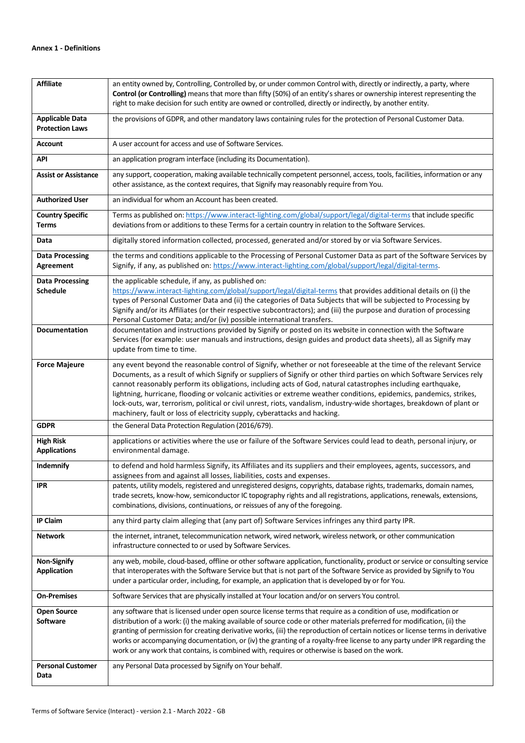| <b>Affiliate</b>                                 | an entity owned by, Controlling, Controlled by, or under common Control with, directly or indirectly, a party, where<br>Control (or Controlling) means that more than fifty (50%) of an entity's shares or ownership interest representing the<br>right to make decision for such entity are owned or controlled, directly or indirectly, by another entity.                                                                                                                                                                                                                                                                                                                               |  |
|--------------------------------------------------|--------------------------------------------------------------------------------------------------------------------------------------------------------------------------------------------------------------------------------------------------------------------------------------------------------------------------------------------------------------------------------------------------------------------------------------------------------------------------------------------------------------------------------------------------------------------------------------------------------------------------------------------------------------------------------------------|--|
| <b>Applicable Data</b><br><b>Protection Laws</b> | the provisions of GDPR, and other mandatory laws containing rules for the protection of Personal Customer Data.                                                                                                                                                                                                                                                                                                                                                                                                                                                                                                                                                                            |  |
| <b>Account</b>                                   | A user account for access and use of Software Services.                                                                                                                                                                                                                                                                                                                                                                                                                                                                                                                                                                                                                                    |  |
| <b>API</b>                                       | an application program interface (including its Documentation).                                                                                                                                                                                                                                                                                                                                                                                                                                                                                                                                                                                                                            |  |
| <b>Assist or Assistance</b>                      | any support, cooperation, making available technically competent personnel, access, tools, facilities, information or any<br>other assistance, as the context requires, that Signify may reasonably require from You.                                                                                                                                                                                                                                                                                                                                                                                                                                                                      |  |
| <b>Authorized User</b>                           | an individual for whom an Account has been created.                                                                                                                                                                                                                                                                                                                                                                                                                                                                                                                                                                                                                                        |  |
| <b>Country Specific</b><br><b>Terms</b>          | Terms as published on: https://www.interact-lighting.com/global/support/legal/digital-terms that include specific<br>deviations from or additions to these Terms for a certain country in relation to the Software Services.                                                                                                                                                                                                                                                                                                                                                                                                                                                               |  |
| Data                                             | digitally stored information collected, processed, generated and/or stored by or via Software Services.                                                                                                                                                                                                                                                                                                                                                                                                                                                                                                                                                                                    |  |
| <b>Data Processing</b><br>Agreement              | the terms and conditions applicable to the Processing of Personal Customer Data as part of the Software Services by<br>Signify, if any, as published on: https://www.interact-lighting.com/global/support/legal/digital-terms.                                                                                                                                                                                                                                                                                                                                                                                                                                                             |  |
| <b>Data Processing</b>                           | the applicable schedule, if any, as published on:                                                                                                                                                                                                                                                                                                                                                                                                                                                                                                                                                                                                                                          |  |
| <b>Schedule</b>                                  | https://www.interact-lighting.com/global/support/legal/digital-terms that provides additional details on (i) the<br>types of Personal Customer Data and (ii) the categories of Data Subjects that will be subjected to Processing by<br>Signify and/or its Affiliates (or their respective subcontractors); and (iii) the purpose and duration of processing<br>Personal Customer Data; and/or (iv) possible international transfers.                                                                                                                                                                                                                                                      |  |
| <b>Documentation</b>                             | documentation and instructions provided by Signify or posted on its website in connection with the Software<br>Services (for example: user manuals and instructions, design guides and product data sheets), all as Signify may<br>update from time to time.                                                                                                                                                                                                                                                                                                                                                                                                                               |  |
| <b>Force Majeure</b>                             | any event beyond the reasonable control of Signify, whether or not foreseeable at the time of the relevant Service<br>Documents, as a result of which Signify or suppliers of Signify or other third parties on which Software Services rely<br>cannot reasonably perform its obligations, including acts of God, natural catastrophes including earthquake,<br>lightning, hurricane, flooding or volcanic activities or extreme weather conditions, epidemics, pandemics, strikes,<br>lock-outs, war, terrorism, political or civil unrest, riots, vandalism, industry-wide shortages, breakdown of plant or<br>machinery, fault or loss of electricity supply, cyberattacks and hacking. |  |
| <b>GDPR</b>                                      | the General Data Protection Regulation (2016/679).                                                                                                                                                                                                                                                                                                                                                                                                                                                                                                                                                                                                                                         |  |
| <b>High Risk</b><br><b>Applications</b>          | applications or activities where the use or failure of the Software Services could lead to death, personal injury, or<br>environmental damage.                                                                                                                                                                                                                                                                                                                                                                                                                                                                                                                                             |  |
| Indemnify                                        | to defend and hold harmless Signify, its Affiliates and its suppliers and their employees, agents, successors, and<br>assignees from and against all losses, liabilities, costs and expenses.                                                                                                                                                                                                                                                                                                                                                                                                                                                                                              |  |
| IPR                                              | patents, utility models, registered and unregistered designs, copyrights, database rights, trademarks, domain names,<br>trade secrets, know-how, semiconductor IC topography rights and all registrations, applications, renewals, extensions,<br>combinations, divisions, continuations, or reissues of any of the foregoing.                                                                                                                                                                                                                                                                                                                                                             |  |
| <b>IP Claim</b>                                  | any third party claim alleging that (any part of) Software Services infringes any third party IPR.                                                                                                                                                                                                                                                                                                                                                                                                                                                                                                                                                                                         |  |
| <b>Network</b>                                   | the internet, intranet, telecommunication network, wired network, wireless network, or other communication<br>infrastructure connected to or used by Software Services.                                                                                                                                                                                                                                                                                                                                                                                                                                                                                                                    |  |
| <b>Non-Signify</b><br><b>Application</b>         | any web, mobile, cloud-based, offline or other software application, functionality, product or service or consulting service<br>that interoperates with the Software Service but that is not part of the Software Service as provided by Signify to You<br>under a particular order, including, for example, an application that is developed by or for You.                                                                                                                                                                                                                                                                                                                               |  |
| <b>On-Premises</b>                               | Software Services that are physically installed at Your location and/or on servers You control.                                                                                                                                                                                                                                                                                                                                                                                                                                                                                                                                                                                            |  |
| <b>Open Source</b><br><b>Software</b>            | any software that is licensed under open source license terms that require as a condition of use, modification or<br>distribution of a work: (i) the making available of source code or other materials preferred for modification, (ii) the<br>granting of permission for creating derivative works, (iii) the reproduction of certain notices or license terms in derivative<br>works or accompanying documentation, or (iv) the granting of a royalty-free license to any party under IPR regarding the<br>work or any work that contains, is combined with, requires or otherwise is based on the work.                                                                                |  |
| <b>Personal Customer</b><br>Data                 | any Personal Data processed by Signify on Your behalf.                                                                                                                                                                                                                                                                                                                                                                                                                                                                                                                                                                                                                                     |  |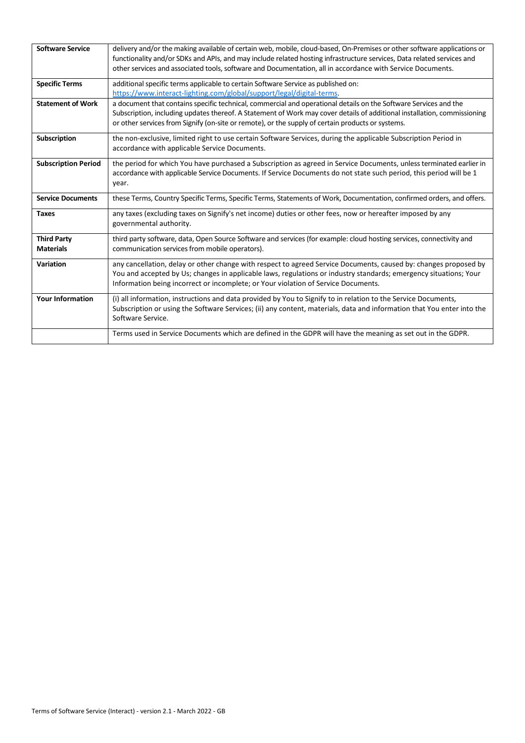| <b>Software Service</b>                | delivery and/or the making available of certain web, mobile, cloud-based, On-Premises or other software applications or<br>functionality and/or SDKs and APIs, and may include related hosting infrastructure services, Data related services and<br>other services and associated tools, software and Documentation, all in accordance with Service Documents. |
|----------------------------------------|-----------------------------------------------------------------------------------------------------------------------------------------------------------------------------------------------------------------------------------------------------------------------------------------------------------------------------------------------------------------|
| <b>Specific Terms</b>                  | additional specific terms applicable to certain Software Service as published on:<br>https://www.interact-lighting.com/global/support/legal/digital-terms.                                                                                                                                                                                                      |
| <b>Statement of Work</b>               | a document that contains specific technical, commercial and operational details on the Software Services and the<br>Subscription, including updates thereof. A Statement of Work may cover details of additional installation, commissioning<br>or other services from Signify (on-site or remote), or the supply of certain products or systems.               |
| <b>Subscription</b>                    | the non-exclusive, limited right to use certain Software Services, during the applicable Subscription Period in<br>accordance with applicable Service Documents.                                                                                                                                                                                                |
| <b>Subscription Period</b>             | the period for which You have purchased a Subscription as agreed in Service Documents, unless terminated earlier in<br>accordance with applicable Service Documents. If Service Documents do not state such period, this period will be 1<br>year.                                                                                                              |
| <b>Service Documents</b>               | these Terms, Country Specific Terms, Specific Terms, Statements of Work, Documentation, confirmed orders, and offers.                                                                                                                                                                                                                                           |
| <b>Taxes</b>                           | any taxes (excluding taxes on Signify's net income) duties or other fees, now or hereafter imposed by any<br>governmental authority.                                                                                                                                                                                                                            |
| <b>Third Party</b><br><b>Materials</b> | third party software, data, Open Source Software and services (for example: cloud hosting services, connectivity and<br>communication services from mobile operators).                                                                                                                                                                                          |
| <b>Variation</b>                       | any cancellation, delay or other change with respect to agreed Service Documents, caused by: changes proposed by<br>You and accepted by Us; changes in applicable laws, regulations or industry standards; emergency situations; Your<br>Information being incorrect or incomplete; or Your violation of Service Documents.                                     |
| <b>Your Information</b>                | (i) all information, instructions and data provided by You to Signify to in relation to the Service Documents,<br>Subscription or using the Software Services; (ii) any content, materials, data and information that You enter into the<br>Software Service.                                                                                                   |
|                                        | Terms used in Service Documents which are defined in the GDPR will have the meaning as set out in the GDPR.                                                                                                                                                                                                                                                     |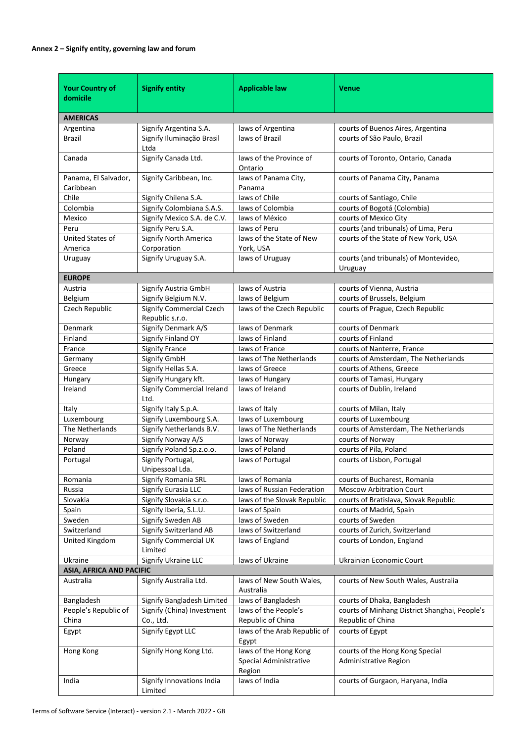## **Annex 2 – Signify entity, governing law and forum**

| <b>Your Country of</b><br>domicile | <b>Signify entity</b>                              | <b>Applicable law</b>                                     | <b>Venue</b>                                                       |
|------------------------------------|----------------------------------------------------|-----------------------------------------------------------|--------------------------------------------------------------------|
|                                    |                                                    |                                                           |                                                                    |
| <b>AMERICAS</b>                    |                                                    |                                                           |                                                                    |
| Argentina                          | Signify Argentina S.A.                             | laws of Argentina                                         | courts of Buenos Aires, Argentina                                  |
| <b>Brazil</b>                      | Signify Iluminação Brasil<br>Ltda                  | laws of Brazil                                            | courts of São Paulo, Brazil                                        |
| Canada                             | Signify Canada Ltd.                                | laws of the Province of<br>Ontario                        | courts of Toronto, Ontario, Canada                                 |
| Panama, El Salvador,<br>Caribbean  | Signify Caribbean, Inc.                            | laws of Panama City,<br>Panama                            | courts of Panama City, Panama                                      |
| Chile                              | Signify Chilena S.A.                               | laws of Chile                                             | courts of Santiago, Chile                                          |
| Colombia                           | Signify Colombiana S.A.S.                          | laws of Colombia                                          | courts of Bogotá (Colombia)                                        |
| Mexico                             | Signify Mexico S.A. de C.V.                        | laws of México                                            | courts of Mexico City                                              |
| Peru                               | Signify Peru S.A.                                  | laws of Peru                                              | courts (and tribunals) of Lima, Peru                               |
| <b>United States of</b><br>America | <b>Signify North America</b><br>Corporation        | laws of the State of New<br>York, USA                     | courts of the State of New York, USA                               |
| Uruguay                            | Signify Uruguay S.A.                               | laws of Uruguay                                           | courts (and tribunals) of Montevideo,<br>Uruguay                   |
| <b>EUROPE</b>                      |                                                    |                                                           |                                                                    |
| Austria                            | Signify Austria GmbH                               | laws of Austria                                           | courts of Vienna, Austria                                          |
| Belgium                            | Signify Belgium N.V.                               | laws of Belgium                                           | courts of Brussels, Belgium                                        |
| Czech Republic                     | <b>Signify Commercial Czech</b><br>Republic s.r.o. | laws of the Czech Republic                                | courts of Prague, Czech Republic                                   |
| Denmark                            | Signify Denmark A/S                                | laws of Denmark                                           | courts of Denmark                                                  |
| Finland                            | Signify Finland OY                                 | laws of Finland                                           | courts of Finland                                                  |
| France                             | <b>Signify France</b>                              | laws of France                                            | courts of Nanterre, France                                         |
| Germany                            | Signify GmbH                                       | laws of The Netherlands                                   | courts of Amsterdam, The Netherlands                               |
| Greece                             | Signify Hellas S.A.                                | laws of Greece                                            | courts of Athens, Greece                                           |
| Hungary                            | Signify Hungary kft.                               | laws of Hungary                                           | courts of Tamasi, Hungary                                          |
| Ireland                            | Signify Commercial Ireland<br>Ltd.                 | laws of Ireland                                           | courts of Dublin, Ireland                                          |
| Italy                              | Signify Italy S.p.A.                               | laws of Italy                                             | courts of Milan, Italy                                             |
| Luxembourg                         | Signify Luxembourg S.A.                            | laws of Luxembourg                                        | courts of Luxembourg                                               |
| The Netherlands                    | Signify Netherlands B.V.                           | laws of The Netherlands                                   | courts of Amsterdam, The Netherlands                               |
| Norway                             | Signify Norway A/S                                 | laws of Norway                                            | courts of Norway                                                   |
| Poland                             | Signify Poland Sp.z.o.o.                           | laws of Poland                                            | courts of Pila, Poland                                             |
| Portugal                           | Signify Portugal,<br>Unipessoal Lda.               | laws of Portugal                                          | courts of Lisbon, Portugal                                         |
| Romania                            | Signify Romania SRL                                | laws of Romania                                           | courts of Bucharest, Romania                                       |
| Russia                             | Signify Eurasia LLC                                | laws of Russian Federation                                | <b>Moscow Arbitration Court</b>                                    |
| Slovakia                           | Signify Slovakia s.r.o.                            | laws of the Slovak Republic                               | courts of Bratislava, Slovak Republic                              |
| Spain                              | Signify Iberia, S.L.U.                             | laws of Spain                                             | courts of Madrid, Spain                                            |
| Sweden                             | Signify Sweden AB                                  | laws of Sweden                                            | courts of Sweden                                                   |
| Switzerland                        | Signify Switzerland AB                             | laws of Switzerland                                       | courts of Zurich, Switzerland                                      |
| United Kingdom                     | <b>Signify Commercial UK</b><br>Limited            | laws of England                                           | courts of London, England                                          |
| Ukraine                            | Signify Ukraine LLC                                | laws of Ukraine                                           | Ukrainian Economic Court                                           |
| <b>ASIA, AFRICA AND PACIFIC</b>    |                                                    |                                                           |                                                                    |
| Australia                          | Signify Australia Ltd.                             | laws of New South Wales,<br>Australia                     | courts of New South Wales, Australia                               |
| Bangladesh                         | Signify Bangladesh Limited                         | laws of Bangladesh                                        | courts of Dhaka, Bangladesh                                        |
| People's Republic of<br>China      | Signify (China) Investment<br>Co., Ltd.            | laws of the People's<br>Republic of China                 | courts of Minhang District Shanghai, People's<br>Republic of China |
| Egypt                              | Signify Egypt LLC                                  | laws of the Arab Republic of<br>Egypt                     | courts of Egypt                                                    |
| Hong Kong                          | Signify Hong Kong Ltd.                             | laws of the Hong Kong<br>Special Administrative<br>Region | courts of the Hong Kong Special<br><b>Administrative Region</b>    |
| India                              | Signify Innovations India<br>Limited               | laws of India                                             | courts of Gurgaon, Haryana, India                                  |